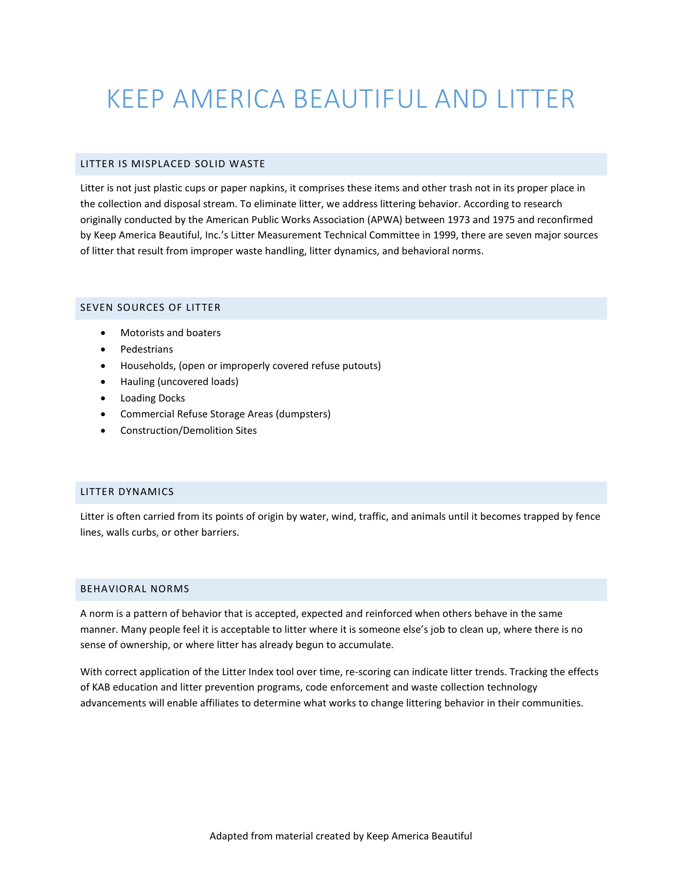# KEEP AMERICA BEAUTIFUL AND LITTER

#### LITTER IS MISPLACED SOLID WASTE

Litter is not just plastic cups or paper napkins, it comprises these items and other trash not in its proper place in the collection and disposal stream. To eliminate litter, we address littering behavior. According to research originally conducted by the American Public Works Association (APWA) between 1973 and 1975 and reconfirmed by Keep America Beautiful, Inc.'s Litter Measurement Technical Committee in 1999, there are seven major sources of litter that result from improper waste handling, litter dynamics, and behavioral norms.

### SEVEN SOURCES OF LITTER

- Motorists and boaters
- Pedestrians
- Households, (open or improperly covered refuse putouts)
- Hauling (uncovered loads)
- Loading Docks
- Commercial Refuse Storage Areas (dumpsters)
- Construction/Demolition Sites

#### LITTER DYNAMICS

Litter is often carried from its points of origin by water, wind, traffic, and animals until it becomes trapped by fence lines, walls curbs, or other barriers.

#### BEHAVIORAL NORMS

A norm is a pattern of behavior that is accepted, expected and reinforced when others behave in the same manner. Many people feel it is acceptable to litter where it is someone else's job to clean up, where there is no sense of ownership, or where litter has already begun to accumulate.

With correct application of the Litter Index tool over time, re-scoring can indicate litter trends. Tracking the effects of KAB education and litter prevention programs, code enforcement and waste collection technology advancements will enable affiliates to determine what works to change littering behavior in their communities.